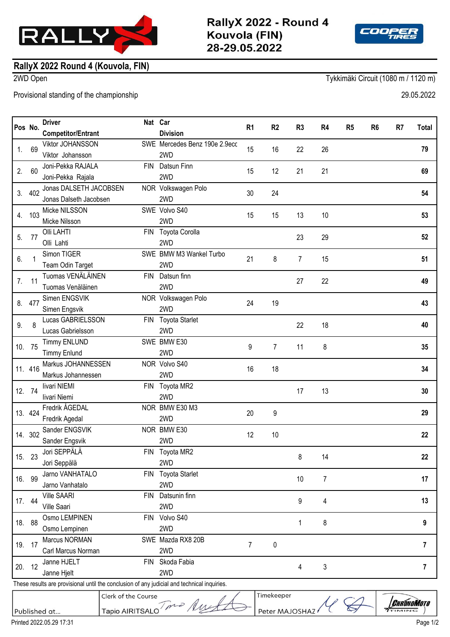

RallyX 2022 - Round 4 Kouvola (FIN) 28-29.05.2022



## **RallyX 2022 Round 4 (Kouvola, FIN)**

2WD Open Tykkimäki Circuit (1080 m / 1120 m)

Provisional standing of the championship 29.05.2022

|                                                                                             | Pos No. | <b>Driver</b>             | Nat Car    |                               | R <sub>1</sub> | R <sub>2</sub> | R <sub>3</sub> | R4 | R <sub>5</sub> | R <sub>6</sub> | R <sub>7</sub> | Total          |
|---------------------------------------------------------------------------------------------|---------|---------------------------|------------|-------------------------------|----------------|----------------|----------------|----|----------------|----------------|----------------|----------------|
|                                                                                             |         | <b>Competitor/Entrant</b> |            | <b>Division</b>               |                |                |                |    |                |                |                |                |
| 1.                                                                                          | 69      | Viktor JOHANSSON          |            | SWE Mercedes Benz 190e 2.9ecc | 15             | 16             | 22             | 26 |                |                |                | 79             |
|                                                                                             |         | Viktor Johansson          |            | 2WD                           |                |                |                |    |                |                |                |                |
| 2.                                                                                          | 60      | Joni-Pekka RAJALA         | <b>FIN</b> | Datsun Finn                   | 15             | 12             | 21             | 21 |                |                |                | 69             |
|                                                                                             |         | Joni-Pekka Rajala         |            | 2WD                           |                |                |                |    |                |                |                |                |
| 3.                                                                                          | 402     | Jonas DALSETH JACOBSEN    |            | NOR Volkswagen Polo           | 30             | 24             |                |    |                |                |                | 54             |
|                                                                                             |         | Jonas Dalseth Jacobsen    |            | 2WD                           |                |                |                |    |                |                |                |                |
| 4.                                                                                          | 103     | Micke NILSSON             |            | SWE Volvo S40                 | 15             | 15             | 13             | 10 |                |                |                | 53             |
|                                                                                             |         | Micke Nilsson             |            | 2WD                           |                |                |                |    |                |                |                |                |
| 5.                                                                                          | 77      | Olli LAHTI                | <b>FIN</b> | Toyota Corolla                |                |                | 23             | 29 |                |                |                | 52             |
|                                                                                             |         | Olli Lahti                |            | 2WD                           |                |                |                |    |                |                |                |                |
| 6.                                                                                          | 1       | Simon TIGER               |            | SWE BMW M3 Wankel Turbo       | 21             | 8              |                |    |                |                |                | 51             |
|                                                                                             |         | Team Odin Target          |            | 2WD                           |                |                | 7              | 15 |                |                |                |                |
| 7.                                                                                          | 11      | Tuomas VENÄLÄINEN         | <b>FIN</b> | Datsun finn                   |                |                | 27             | 22 |                |                |                | 49             |
|                                                                                             |         | Tuomas Venäläinen         |            | 2WD                           |                |                |                |    |                |                |                |                |
| 8.                                                                                          | 477     | Simen ENGSVIK             |            | NOR Volkswagen Polo           | 24             | 19             |                |    |                |                |                | 43             |
|                                                                                             |         | Simen Engsvik             |            | 2WD                           |                |                |                |    |                |                |                |                |
| 9.                                                                                          | 8       | Lucas GABRIELSSON         | <b>FIN</b> | <b>Toyota Starlet</b>         |                |                | 22             | 18 |                |                |                | 40             |
|                                                                                             |         | Lucas Gabrielsson         |            | 2WD                           |                |                |                |    |                |                |                |                |
|                                                                                             | 10. 75  | <b>Timmy ENLUND</b>       |            | SWE BMW E30                   | 9              | $\overline{7}$ | 11             | 8  |                |                |                | 35             |
|                                                                                             |         | <b>Timmy Enlund</b>       |            | 2WD                           |                |                |                |    |                |                |                |                |
|                                                                                             | 11. 416 | Markus JOHANNESSEN        |            | NOR Volvo S40                 | 16             | 18             |                |    |                |                |                | 34             |
|                                                                                             |         | Markus Johannessen        |            | 2WD                           |                |                |                |    |                |                |                |                |
|                                                                                             | 12. 74  | livari NIEMI              |            | FIN Toyota MR2                |                |                | 17             | 13 |                |                |                | 30             |
|                                                                                             |         | livari Niemi              |            | 2WD                           |                |                |                |    |                |                |                |                |
|                                                                                             | 13. 424 | Fredrik ÅGEDAL            |            | NOR BMW E30 M3                | 20             | 9              |                |    |                |                |                | 29             |
|                                                                                             |         | Fredrik Agedal            |            | 2WD                           |                |                |                |    |                |                |                |                |
|                                                                                             | 14. 302 | Sander ENGSVIK            |            | NOR BMW E30                   | 12             | 10             |                |    |                |                |                | 22             |
|                                                                                             |         | Sander Engsvik            |            | 2WD                           |                |                |                |    |                |                |                |                |
|                                                                                             | 15. 23  | Jori SEPPÄLÄ              |            | FIN Toyota MR2                |                |                | 8              | 14 |                |                |                | 22             |
|                                                                                             |         | Jori Seppälä              |            | 2WD                           |                |                |                |    |                |                |                |                |
|                                                                                             | 16. 99  | Jarno VANHATALO           | <b>FIN</b> | <b>Toyota Starlet</b>         |                |                | 10             | 7  |                |                |                | 17             |
|                                                                                             |         | Jarno Vanhatalo           |            | 2WD                           |                |                |                |    |                |                |                |                |
|                                                                                             | 17. 44  | <b>Ville SAARI</b>        | <b>FIN</b> | Datsunin finn                 |                |                | 9              | 4  |                |                |                | 13             |
|                                                                                             |         | Ville Saari               |            | 2WD                           |                |                |                |    |                |                |                |                |
|                                                                                             | 18. 88  | Osmo LEMPINEN             | <b>FIN</b> | Volvo S40                     |                |                | 1              | 8  |                |                |                | 9              |
|                                                                                             |         | Osmo Lempinen             |            | 2WD                           |                |                |                |    |                |                |                |                |
|                                                                                             | 19. 17  | Marcus NORMAN             |            | SWE Mazda RX8 20B             | 7              | 0              |                |    |                |                |                | $\overline{7}$ |
|                                                                                             |         | Carl Marcus Norman        |            | 2WD                           |                |                |                |    |                |                |                |                |
|                                                                                             | 20. 12  | Janne HJELT               | FIN        | Skoda Fabia                   |                |                | 4              | 3  |                |                |                | $\overline{7}$ |
|                                                                                             |         | Janne Hjelt               |            | 2WD                           |                |                |                |    |                |                |                |                |
| These results are provisional until the conclusion of any judicial and technical inquiries. |         |                           |            |                               |                |                |                |    |                |                |                |                |
| Timekeeper<br>Clerk of the Course                                                           |         |                           |            |                               |                |                |                |    |                |                |                |                |
| <b>CHRONOMOTO</b><br>Toma Ruy<br>Peter MAJOSHAZ<br><b>Tapio AIRITSALO</b><br>Published at   |         |                           |            |                               |                |                |                |    |                |                |                |                |